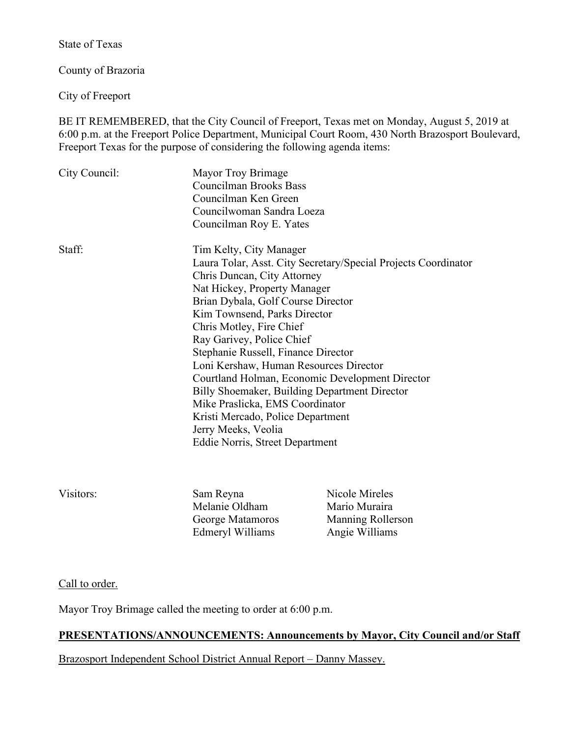State of Texas

County of Brazoria

City of Freeport

BE IT REMEMBERED, that the City Council of Freeport, Texas met on Monday, August 5, 2019 at 6:00 p.m. at the Freeport Police Department, Municipal Court Room, 430 North Brazosport Boulevard, Freeport Texas for the purpose of considering the following agenda items:

| City Council: | Mayor Troy Brimage<br><b>Councilman Brooks Bass</b><br>Councilman Ken Green<br>Councilwoman Sandra Loeza<br>Councilman Roy E. Yates                                                                                                                                                                                                                                                                                                                                                                                                                                                                            |
|---------------|----------------------------------------------------------------------------------------------------------------------------------------------------------------------------------------------------------------------------------------------------------------------------------------------------------------------------------------------------------------------------------------------------------------------------------------------------------------------------------------------------------------------------------------------------------------------------------------------------------------|
| Staff:        | Tim Kelty, City Manager<br>Laura Tolar, Asst. City Secretary/Special Projects Coordinator<br>Chris Duncan, City Attorney<br>Nat Hickey, Property Manager<br>Brian Dybala, Golf Course Director<br>Kim Townsend, Parks Director<br>Chris Motley, Fire Chief<br>Ray Garivey, Police Chief<br>Stephanie Russell, Finance Director<br>Loni Kershaw, Human Resources Director<br>Courtland Holman, Economic Development Director<br>Billy Shoemaker, Building Department Director<br>Mike Praslicka, EMS Coordinator<br>Kristi Mercado, Police Department<br>Jerry Meeks, Veolia<br>Eddie Norris, Street Department |

Visitors: Sam Reyna Nicole Mireles Melanie Oldham Mario Muraira Edmeryl Williams Angie Williams

George Matamoros Manning Rollerson

Call to order.

Mayor Troy Brimage called the meeting to order at 6:00 p.m.

# **PRESENTATIONS/ANNOUNCEMENTS: Announcements by Mayor, City Council and/or Staff**

Brazosport Independent School District Annual Report – Danny Massey.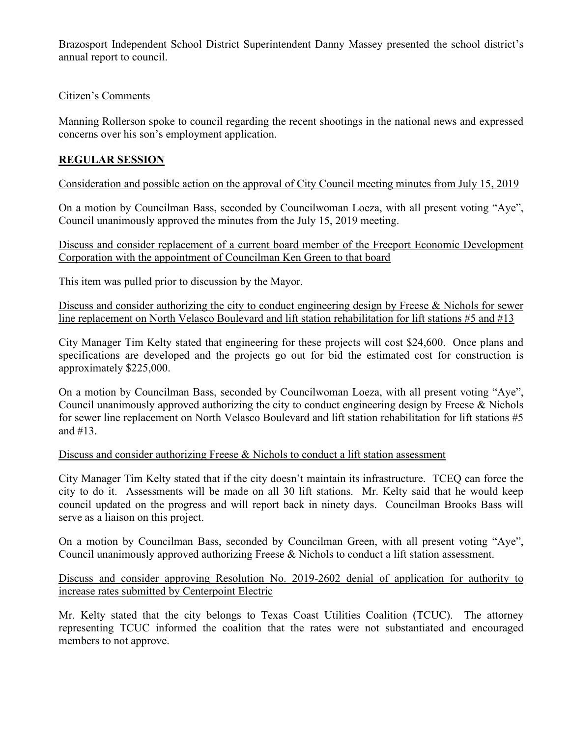Brazosport Independent School District Superintendent Danny Massey presented the school district's annual report to council.

## Citizen's Comments

Manning Rollerson spoke to council regarding the recent shootings in the national news and expressed concerns over his son's employment application.

# **REGULAR SESSION**

Consideration and possible action on the approval of City Council meeting minutes from July 15, 2019

On a motion by Councilman Bass, seconded by Councilwoman Loeza, with all present voting "Aye", Council unanimously approved the minutes from the July 15, 2019 meeting.

Discuss and consider replacement of a current board member of the Freeport Economic Development Corporation with the appointment of Councilman Ken Green to that board

This item was pulled prior to discussion by the Mayor.

Discuss and consider authorizing the city to conduct engineering design by Freese & Nichols for sewer line replacement on North Velasco Boulevard and lift station rehabilitation for lift stations #5 and #13

City Manager Tim Kelty stated that engineering for these projects will cost \$24,600. Once plans and specifications are developed and the projects go out for bid the estimated cost for construction is approximately \$225,000.

On a motion by Councilman Bass, seconded by Councilwoman Loeza, with all present voting "Aye", Council unanimously approved authorizing the city to conduct engineering design by Freese & Nichols for sewer line replacement on North Velasco Boulevard and lift station rehabilitation for lift stations #5 and #13.

## Discuss and consider authorizing Freese & Nichols to conduct a lift station assessment

City Manager Tim Kelty stated that if the city doesn't maintain its infrastructure. TCEQ can force the city to do it. Assessments will be made on all 30 lift stations. Mr. Kelty said that he would keep council updated on the progress and will report back in ninety days. Councilman Brooks Bass will serve as a liaison on this project.

On a motion by Councilman Bass, seconded by Councilman Green, with all present voting "Aye", Council unanimously approved authorizing Freese & Nichols to conduct a lift station assessment.

Discuss and consider approving Resolution No. 2019-2602 denial of application for authority to increase rates submitted by Centerpoint Electric

Mr. Kelty stated that the city belongs to Texas Coast Utilities Coalition (TCUC). The attorney representing TCUC informed the coalition that the rates were not substantiated and encouraged members to not approve.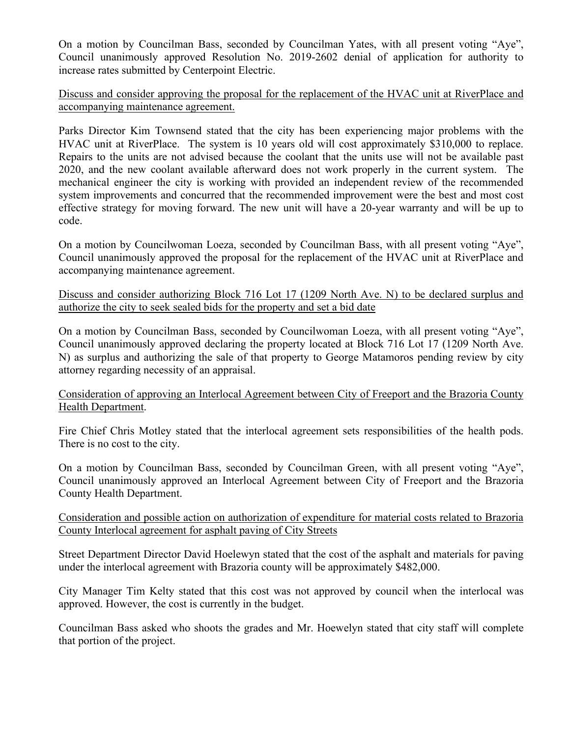On a motion by Councilman Bass, seconded by Councilman Yates, with all present voting "Aye", Council unanimously approved Resolution No. 2019-2602 denial of application for authority to increase rates submitted by Centerpoint Electric.

Discuss and consider approving the proposal for the replacement of the HVAC unit at RiverPlace and accompanying maintenance agreement.

Parks Director Kim Townsend stated that the city has been experiencing major problems with the HVAC unit at RiverPlace. The system is 10 years old will cost approximately \$310,000 to replace. Repairs to the units are not advised because the coolant that the units use will not be available past 2020, and the new coolant available afterward does not work properly in the current system. The mechanical engineer the city is working with provided an independent review of the recommended system improvements and concurred that the recommended improvement were the best and most cost effective strategy for moving forward. The new unit will have a 20-year warranty and will be up to code.

On a motion by Councilwoman Loeza, seconded by Councilman Bass, with all present voting "Aye", Council unanimously approved the proposal for the replacement of the HVAC unit at RiverPlace and accompanying maintenance agreement.

Discuss and consider authorizing Block 716 Lot 17 (1209 North Ave. N) to be declared surplus and authorize the city to seek sealed bids for the property and set a bid date

On a motion by Councilman Bass, seconded by Councilwoman Loeza, with all present voting "Aye", Council unanimously approved declaring the property located at Block 716 Lot 17 (1209 North Ave. N) as surplus and authorizing the sale of that property to George Matamoros pending review by city attorney regarding necessity of an appraisal.

Consideration of approving an Interlocal Agreement between City of Freeport and the Brazoria County Health Department.

Fire Chief Chris Motley stated that the interlocal agreement sets responsibilities of the health pods. There is no cost to the city.

On a motion by Councilman Bass, seconded by Councilman Green, with all present voting "Aye", Council unanimously approved an Interlocal Agreement between City of Freeport and the Brazoria County Health Department.

Consideration and possible action on authorization of expenditure for material costs related to Brazoria County Interlocal agreement for asphalt paving of City Streets

Street Department Director David Hoelewyn stated that the cost of the asphalt and materials for paving under the interlocal agreement with Brazoria county will be approximately \$482,000.

City Manager Tim Kelty stated that this cost was not approved by council when the interlocal was approved. However, the cost is currently in the budget.

Councilman Bass asked who shoots the grades and Mr. Hoewelyn stated that city staff will complete that portion of the project.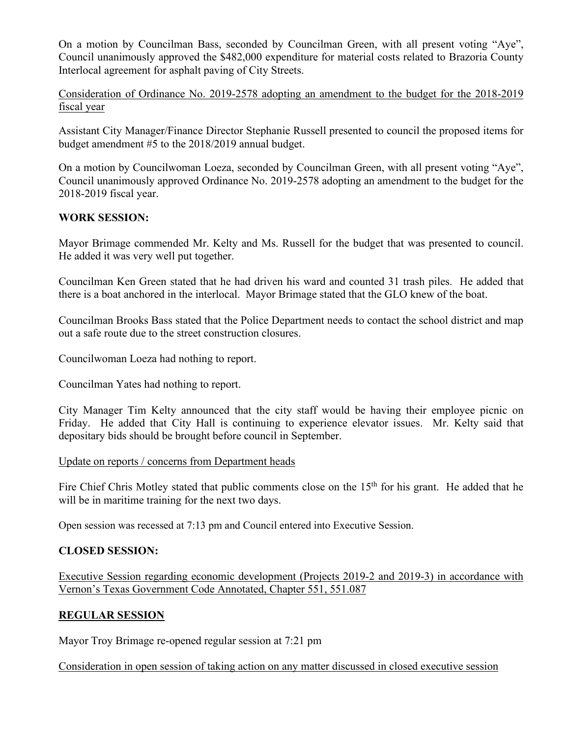On a motion by Councilman Bass, seconded by Councilman Green, with all present voting "Aye", Council unanimously approved the \$482,000 expenditure for material costs related to Brazoria County Interlocal agreement for asphalt paving of City Streets.

Consideration of Ordinance No. 2019-2578 adopting an amendment to the budget for the 2018-2019 fiscal year

Assistant City Manager/Finance Director Stephanie Russell presented to council the proposed items for budget amendment #5 to the 2018/2019 annual budget.

On a motion by Councilwoman Loeza, seconded by Councilman Green, with all present voting "Aye", Council unanimously approved Ordinance No. 2019-2578 adopting an amendment to the budget for the 2018-2019 fiscal year.

## **WORK SESSION:**

Mayor Brimage commended Mr. Kelty and Ms. Russell for the budget that was presented to council. He added it was very well put together.

Councilman Ken Green stated that he had driven his ward and counted 31 trash piles. He added that there is a boat anchored in the interlocal. Mayor Brimage stated that the GLO knew of the boat.

Councilman Brooks Bass stated that the Police Department needs to contact the school district and map out a safe route due to the street construction closures.

Councilwoman Loeza had nothing to report.

Councilman Yates had nothing to report.

City Manager Tim Kelty announced that the city staff would be having their employee picnic on Friday. He added that City Hall is continuing to experience elevator issues. Mr. Kelty said that depositary bids should be brought before council in September.

#### Update on reports / concerns from Department heads

Fire Chief Chris Motley stated that public comments close on the 15<sup>th</sup> for his grant. He added that he will be in maritime training for the next two days.

Open session was recessed at 7:13 pm and Council entered into Executive Session.

## **CLOSED SESSION:**

Executive Session regarding economic development (Projects 2019-2 and 2019-3) in accordance with Vernon's Texas Government Code Annotated, Chapter 551, 551.087

## **REGULAR SESSION**

Mayor Troy Brimage re-opened regular session at 7:21 pm

Consideration in open session of taking action on any matter discussed in closed executive session